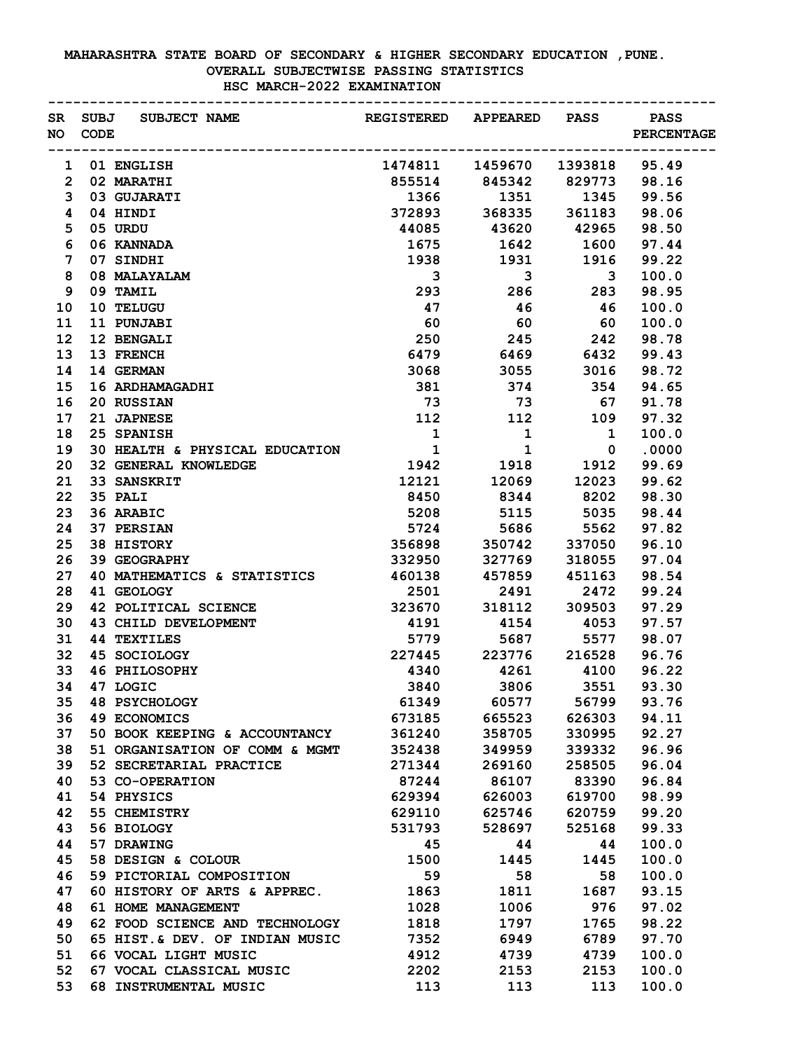## **MAHARASHTRA STATE BOARD OF SECONDARY & HIGHER SECONDARY EDUCATION ,PUNE. OVERALL SUBJECTWISE PASSING STATISTICS HSC MARCH-2022 EXAMINATION**

|                | NO CODE | SR SUBJ SUBJECT NAME <b>EXECUSTERED</b> APPEARED PASS PASS |                               |                                                    |                                          | <b>PERCENTAGE</b> |  |
|----------------|---------|------------------------------------------------------------|-------------------------------|----------------------------------------------------|------------------------------------------|-------------------|--|
|                |         | 1 01 ENGLISH                                               | 1474811 1459670 1393818 95.49 |                                                    |                                          |                   |  |
| $\overline{2}$ |         | 02 MARATHI                                                 |                               |                                                    |                                          |                   |  |
| 3              |         | 03 GUJARATI                                                | 1366                          | 855514 845342 829773 98.16<br>1366 1351 1345 99.56 |                                          |                   |  |
| 4              |         | 04 HINDI                                                   |                               | 372893 368335 361183 98.06                         |                                          |                   |  |
| 5              |         | 05 URDU                                                    | 44085                         | 43620 42965 98.50                                  |                                          |                   |  |
| 6              |         | 06 KANNADA                                                 | 1675                          |                                                    | 1642 1600                                | 97.44             |  |
| 7              |         | 07 SINDHI                                                  | 1938                          | 1931                                               |                                          | 99.22             |  |
| 8              |         | 08 MALAYALAM                                               | $\overline{\mathbf{3}}$       | $\overline{\mathbf{3}}$                            | $\begin{array}{c} 1916 \\ 3 \end{array}$ | 100.0             |  |
| 9              |         | 09 TAMIL                                                   | 293                           |                                                    | 286 283                                  | 98.95             |  |
| 10             |         | 10 TELUGU                                                  | 47                            | 46                                                 | 46                                       | 100.0             |  |
| 11             |         | 11 PUNJABI                                                 | 60                            | 60                                                 | 60                                       | 100.0             |  |
| 12             |         | 12 BENGALI                                                 | 250                           | 245 242                                            |                                          | 98.78             |  |
| 13             |         | 13 FRENCH                                                  | 6479                          | 6469                                               | 6432                                     | 99.43             |  |
| 14             |         | 14 GERMAN                                                  |                               | 3055                                               | 3016                                     | 98.72             |  |
|                |         |                                                            | 3068                          |                                                    | 374 354                                  |                   |  |
| 15             |         | 16 ARDHAMAGADHI                                            | 381                           |                                                    |                                          | 94.65             |  |
| 16             |         | 20 RUSSIAN                                                 | 73                            | 73                                                 | 67                                       | 91.78             |  |
| 17             |         | 21 JAPNESE                                                 | 112                           | 112 109                                            |                                          | 97.32             |  |
| 18             |         | 25 SPANISH                                                 | $\overline{\mathbf{1}}$       | $\overline{\mathbf{1}}$<br>$\overline{\mathbf{1}}$ | $\overline{\mathbf{1}}$                  | 100.0             |  |
| 19             |         | 30 HEALTH & PHYSICAL EDUCATION 1                           |                               |                                                    |                                          | $0 \qquad .0000$  |  |
| 20             |         | 32 GENERAL KNOWLEDGE                                       | 1942 1918 1912 99.69          |                                                    |                                          |                   |  |
| 21             |         | 33 SANSKRIT                                                | 12121                         |                                                    | 12069 12023                              | 99.62             |  |
| 22             |         | 35 PALI                                                    |                               | 8450 8344 8202                                     |                                          | 98.30             |  |
| 23             |         | 36 ARABIC                                                  |                               | 5208 5115 5035                                     |                                          | 98.44             |  |
| 24             |         | <b>37 PERSIAN</b>                                          |                               | 5724 5686                                          | 5562                                     | 97.82             |  |
| 25             |         | 38 HISTORY                                                 |                               | 356898 350742 337050 96.10                         |                                          |                   |  |
| 26             |         | <b>39 GEOGRAPHY</b>                                        |                               | 332950 327769                                      | 318055                                   | 97.04             |  |
| 27             |         | 40 MATHEMATICS & STATISTICS 460138 457859                  |                               |                                                    | 451163                                   | 98.54             |  |
| 28             |         | 41 GEOLOGY                                                 |                               | 2501 2491                                          |                                          | 2472 99.24        |  |
| 29             |         | 42 POLITICAL SCIENCE                                       | 323670 318112                 |                                                    | 309503 97.29                             |                   |  |
| 30             |         | <b>43 CHILD DEVELOPMENT</b>                                | 4191                          | 4154 4053 97.57                                    |                                          |                   |  |
| 31             |         | <b>44 TEXTILES</b>                                         |                               | 5779 5687 5577 98.07                               |                                          |                   |  |
| 32             |         | 45 SOCIOLOGY                                               |                               | 227445 223776 216528 96.76                         |                                          |                   |  |
| 33             |         | <b>46 PHILOSOPHY</b>                                       | 4340                          | 4261                                               |                                          | 4100 96.22        |  |
| 34             |         | 47 LOGIC                                                   | 3840                          | 3806                                               | 3551                                     | 93.30             |  |
| 35             |         | <b>48 PSYCHOLOGY</b>                                       | 61349                         | 60577                                              | 56799                                    | 93.76             |  |
| 36             |         | <b>49 ECONOMICS</b>                                        | 673185                        | 665523                                             | 626303                                   | 94.11             |  |
| 37             |         | 50 BOOK KEEPING & ACCOUNTANCY                              | 361240                        | 358705                                             | 330995                                   | 92.27             |  |
| 38             |         | 51 ORGANISATION OF COMM & MGMT                             | 352438                        | 349959                                             | 339332                                   | 96.96             |  |
| 39             |         | 52 SECRETARIAL PRACTICE                                    | 271344                        | 269160                                             | 258505                                   | 96.04             |  |
| 40             |         | 53 CO-OPERATION                                            | 87244                         | 86107                                              | 83390                                    | 96.84             |  |
| 41             |         | 54 PHYSICS                                                 | 629394                        | 626003                                             | 619700                                   | 98.99             |  |
| 42             |         | 55 CHEMISTRY                                               | 629110                        | 625746                                             | 620759                                   | 99.20             |  |
| 43             |         | 56 BIOLOGY                                                 | 531793                        | 528697                                             | 525168                                   | 99.33             |  |
| 44             |         | 57 DRAWING                                                 | 45                            | 44                                                 | 44                                       | 100.0             |  |
| 45             |         | 58 DESIGN & COLOUR                                         | 1500                          | 1445                                               | 1445                                     | 100.0             |  |
| 46             |         | 59 PICTORIAL COMPOSITION                                   | 59                            | 58                                                 | 58                                       | 100.0             |  |
| 47             |         | 60 HISTORY OF ARTS & APPREC.                               | 1863                          | 1811                                               | 1687                                     | 93.15             |  |
| 48             |         | 61 HOME MANAGEMENT                                         | 1028                          | 1006                                               | 976                                      | 97.02             |  |
| 49             |         | 62 FOOD SCIENCE AND TECHNOLOGY                             | 1818                          | 1797                                               | 1765                                     | 98.22             |  |
| 50             |         | 65 HIST. & DEV. OF INDIAN MUSIC                            | 7352                          | 6949                                               | 6789                                     | 97.70             |  |
| 51             |         | 66 VOCAL LIGHT MUSIC                                       | 4912                          | 4739                                               | 4739                                     | 100.0             |  |
| 52             |         | 67 VOCAL CLASSICAL MUSIC                                   | 2202                          | 2153                                               | 2153                                     | 100.0             |  |
| 53             |         | 68 INSTRUMENTAL MUSIC                                      | 113                           | 113                                                | 113                                      | 100.0             |  |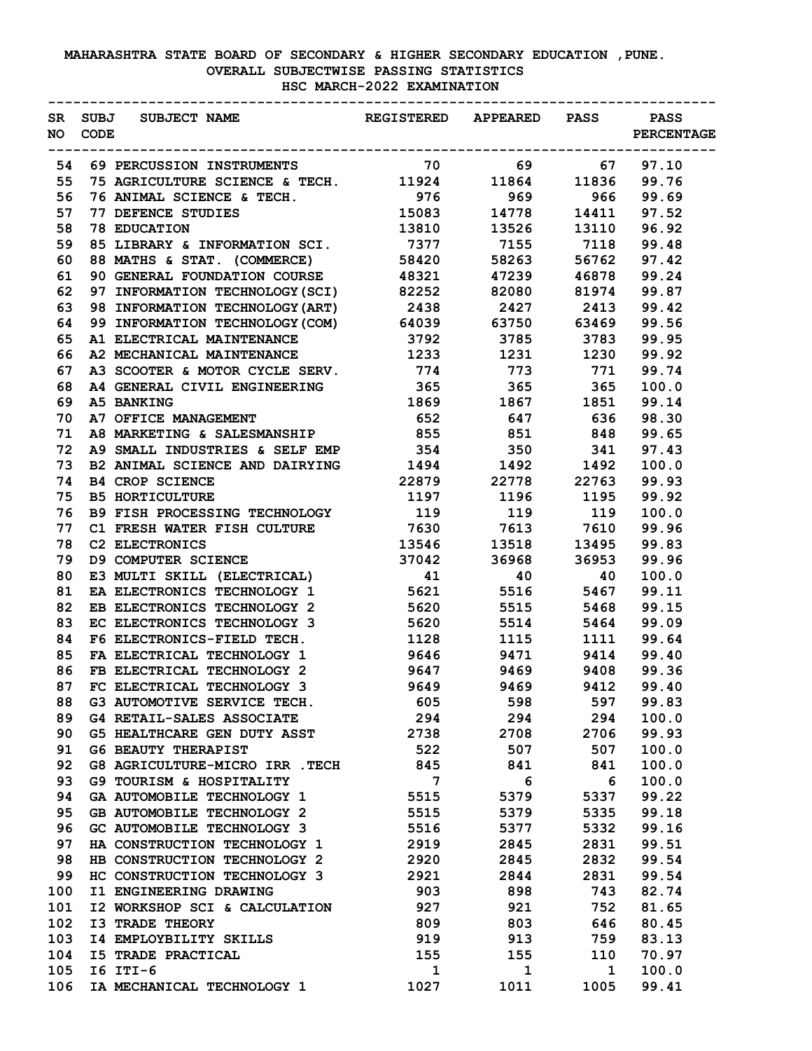## **MAHARASHTRA STATE BOARD OF SECONDARY & HIGHER SECONDARY EDUCATION ,PUNE. OVERALL SUBJECTWISE PASSING STATISTICS HSC MARCH-2022 EXAMINATION**

| NO – | <b>CODE</b> | SR SUBJ SUBJECT NAME <b>EXECUSTERED</b> APPEARED PASS PASS                                                                             |                         |                         |                   | <b>PERCENTAGE</b> |  |
|------|-------------|----------------------------------------------------------------------------------------------------------------------------------------|-------------------------|-------------------------|-------------------|-------------------|--|
| 54   |             |                                                                                                                                        |                         |                         |                   |                   |  |
| 55   |             |                                                                                                                                        |                         |                         |                   |                   |  |
| 56   |             |                                                                                                                                        |                         |                         | 969 966 99.69     |                   |  |
| 57   |             | <b>76 ANIMAL SCIENCE &amp; TECH.</b><br><b>77 DEFENCE STUDIES</b><br><b>78 EDUCATION</b><br><b>78 EDUCATION</b><br><b>78 EDUCATION</b> | 15083 14778 14411 97.52 |                         |                   |                   |  |
| 58   |             |                                                                                                                                        |                         | 13810 13526 13110 96.92 |                   |                   |  |
| 59   |             | 85 LIBRARY & INFORMATION SCI. 7377 7155 7118 99.48                                                                                     |                         |                         |                   |                   |  |
| 60   |             | 88 MATHS & STAT. (COMMERCE) 58420                                                                                                      |                         |                         | 58263 56762 97.42 |                   |  |
| 61   |             | 90 GENERAL FOUNDATION COURSE 48321 47239 46878 99.24                                                                                   |                         |                         |                   |                   |  |
| 62   |             | 97 INFORMATION TECHNOLOGY (SCI) 82252 82080 81974 99.87                                                                                |                         |                         |                   |                   |  |
| 63   |             | 98 INFORMATION TECHNOLOGY (ART) 2438 2427 2413 99.42                                                                                   |                         |                         |                   |                   |  |
| 64   |             | 99 INFORMATION TECHNOLOGY (COM) 64039 63750 63469 99.56                                                                                |                         |                         |                   |                   |  |
| 65   |             | A1 ELECTRICAL MAINTENANCE 3792 3785 3783 99.95                                                                                         |                         |                         |                   |                   |  |
| 66   |             | A2 MECHANICAL MAINTENANCE 1233 1231 1230 99.92                                                                                         |                         |                         |                   |                   |  |
| 67   |             | A3 SCOOTER & MOTOR CYCLE SERV. 774 773 771                                                                                             |                         |                         |                   | 99.74             |  |
| 68   |             | A4 GENERAL CIVIL ENGINEERING 365 365 365                                                                                               |                         |                         |                   | 100.0             |  |
| 69   |             | A5 BANKING                                                                                                                             | 1869 1867 1851 99.14    |                         |                   |                   |  |
| 70   |             | A7 OFFICE MANAGEMENT                                                                                                                   | 652 647 636 98.30       |                         |                   |                   |  |
| 71   |             | A8 MARKETING & SALESMANSHIP 855 851 848 99.65                                                                                          |                         |                         |                   |                   |  |
| 72   |             | A9 SMALL INDUSTRIES & SELF EMP 354 350 341 97.43                                                                                       |                         |                         |                   |                   |  |
| 73   |             | B2 ANIMAL SCIENCE AND DAIRYING 1494 1492 1492 100.0                                                                                    |                         |                         |                   |                   |  |
| 74   |             | <b>B4 CROP SCIENCE</b>                                                                                                                 |                         |                         |                   |                   |  |
| 75   |             | <b>B5 HORTICULTURE</b>                                                                                                                 |                         | 1197 1196 1195          |                   | 99.92             |  |
| 76   |             | B9 FISH PROCESSING TECHNOLOGY 119 119 119 119                                                                                          |                         |                         |                   | 100.0             |  |
| 77   |             | C1 FRESH WATER FISH CULTURE 7630 7613 7610 99.96                                                                                       |                         |                         |                   |                   |  |
| 78   |             | C2 ELECTRONICS                                                                                                                         | 13546 13518 13495 99.83 |                         |                   |                   |  |
| 79   |             | <b>D9 COMPUTER SCIENCE</b>                                                                                                             | 37042 36968 36953       |                         |                   | 99.96             |  |
| 80   |             | E3 MULTI SKILL (ELECTRICAL) 41 40 40                                                                                                   |                         |                         |                   | 100.0             |  |
| 81   |             | EA ELECTRONICS TECHNOLOGY 1 5621 5516 5467                                                                                             |                         |                         |                   | 99.11             |  |
| 82   |             | EB ELECTRONICS TECHNOLOGY 2 5620 5515 5468                                                                                             |                         |                         |                   | 99.15             |  |
| 83   |             | EC ELECTRONICS TECHNOLOGY 3                                                                                                            |                         | 5620 5514               |                   | 5464 99.09        |  |
| 84   |             | F6 ELECTRONICS-FIELD TECH.                                                                                                             |                         | 1128 1115               |                   | 1111 99.64        |  |
| 85   |             | FA ELECTRICAL TECHNOLOGY 1 9646 9471                                                                                                   |                         |                         |                   | 9414 99.40        |  |
| 86   |             | FB ELECTRICAL TECHNOLOGY 2                                                                                                             | 9647                    | 9469                    | 9408              | 99.36             |  |
| 87   |             | FC ELECTRICAL TECHNOLOGY 3                                                                                                             | 9649                    | 9469                    | 9412              | 99.40             |  |
| 88   |             | G3 AUTOMOTIVE SERVICE TECH.                                                                                                            | 605                     | 598                     | 597               | 99.83             |  |
| 89   |             | <b>G4 RETAIL-SALES ASSOCIATE</b>                                                                                                       | 294                     | 294                     | 294               | 100.0             |  |
| 90   |             | <b>G5 HEALTHCARE GEN DUTY ASST</b>                                                                                                     | 2738                    | 2708                    | 2706              | 99.93             |  |
| 91   |             | <b>G6 BEAUTY THERAPIST</b>                                                                                                             | 522                     | 507                     | 507               | 100.0             |  |
| 92   |             | G8 AGRICULTURE-MICRO IRR . TECH                                                                                                        | 845                     | 841                     | 841               | 100.0             |  |
| 93   |             | G9 TOURISM & HOSPITALITY                                                                                                               | $7\phantom{.0}$         | 6                       | 6                 | 100.0             |  |
| 94   |             | GA AUTOMOBILE TECHNOLOGY 1                                                                                                             | 5515                    | 5379                    | 5337              | 99.22             |  |
| 95   |             | <b>GB AUTOMOBILE TECHNOLOGY 2</b>                                                                                                      | 5515                    | 5379                    | 5335              | 99.18             |  |
| 96   |             | GC AUTOMOBILE TECHNOLOGY 3                                                                                                             | 5516                    | 5377                    | 5332              | 99.16             |  |
| 97   |             | HA CONSTRUCTION TECHNOLOGY 1                                                                                                           | 2919                    | 2845                    | 2831              | 99.51             |  |
| 98   |             | HB CONSTRUCTION TECHNOLOGY 2                                                                                                           | 2920                    | 2845                    | 2832              | 99.54             |  |
| 99   |             | HC CONSTRUCTION TECHNOLOGY 3                                                                                                           | 2921                    | 2844                    | 2831              | 99.54             |  |
| 100  |             | I1 ENGINEERING DRAWING                                                                                                                 | 903                     | 898                     | 743               | 82.74             |  |
| 101  |             | I2 WORKSHOP SCI & CALCULATION                                                                                                          | 927                     | 921                     | 752               | 81.65             |  |
| 102  |             | <b>I3 TRADE THEORY</b>                                                                                                                 | 809                     | 803                     | 646               | 80.45             |  |
| 103  |             | <b>I4 EMPLOYBILITY SKILLS</b>                                                                                                          | 919                     | 913                     | 759               | 83.13             |  |
| 104  |             | <b>I5 TRADE PRACTICAL</b>                                                                                                              | 155                     | 155                     | 110               | 70.97             |  |
| 105  |             | I6 ITI-6                                                                                                                               | $\mathbf{1}$            | $\mathbf{1}$            | $\mathbf{1}$      | 100.0             |  |
| 106  |             | IA MECHANICAL TECHNOLOGY 1                                                                                                             | 1027                    | 1011                    | 1005              | 99.41             |  |